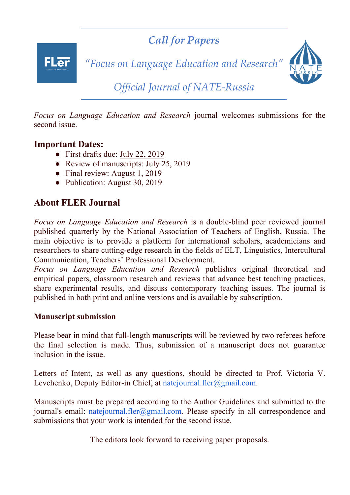*Call for Papers*

**FLar** 

*"Focus on Language Education and Research"* 



*Official Journal of NATE-Russia*

*Focus on Language Education and Research* journal welcomes submissions for the second issue.

## **Important Dates:**

- First drafts due: July 22, 2019
- Review of manuscripts: July 25, 2019
- Final review: August 1, 2019
- Publication: August 30, 2019

# **About FLER Journal**

*Focus on Language Education and Research* is a double-blind peer reviewed journal published quarterly by the National Association of Teachers of English, Russia. The main objective is to provide a platform for international scholars, academicians and researchers to share cutting-edge research in the fields of ELT, Linguistics, Intercultural Communication, Teachers' Professional Development.

*Focus on Language Education and Research* publishes original theoretical and empirical papers, classroom research and reviews that advance best teaching practices, share experimental results, and discuss contemporary teaching issues. The journal is published in both print and online versions and is available by subscription.

### **Manuscript submission**

Please bear in mind that full-length manuscripts will be reviewed by two referees before the final selection is made. Thus, submission of a manuscript does not guarantee inclusion in the issue.

Letters of Intent, as well as any questions, should be directed to Prof. Victoria V. Levchenko, Deputy Editor-in Chief, at natejournal.fler@gmail.com.

Manuscripts must be prepared according to the Author Guidelines and submitted to the journal's email: natejournal.fler@gmail.com. Please specify in all correspondence and submissions that your work is intended for the second issue.

The editors look forward to receiving paper proposals.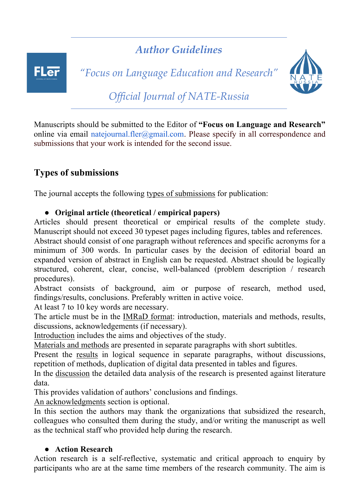# **FLer**

*Author Guidelines*

*"Focus on Language Education and Research"* 



*Official Journal of NATE-Russia*

Manuscripts should be submitted to the Editor of **"Focus on Language and Research"** online via email natejournal.fler@gmail.com. Please specify in all correspondence and submissions that your work is intended for the second issue.

# **Types of submissions**

The journal accepts the following types of submissions for publication:

## ● **Original article (theoretical / empirical papers)**

Articles should present theoretical or empirical results of the complete study. Manuscript should not exceed 30 typeset pages including figures, tables and references.

Abstract should consist of one paragraph without references and specific acronyms for a minimum of 300 words. In particular cases by the decision of editorial board an expanded version of abstract in English can be requested. Abstract should be logically structured, coherent, clear, concise, well-balanced (problem description / research procedures).

Abstract consists of background, aim or purpose of research, method used, findings/results, conclusions. Preferably written in active voice.

At least 7 to 10 key words are necessary.

The article must be in the IMRaD format: introduction, materials and methods, results, discussions, acknowledgements (if necessary).

Introduction includes the aims and objectives of the study.

Materials and methods are presented in separate paragraphs with short subtitles.

Present the results in logical sequence in separate paragraphs, without discussions, repetition of methods, duplication of digital data presented in tables and figures.

In the discussion the detailed data analysis of the research is presented against literature data.

This provides validation of authors' conclusions and findings.

An acknowledgments section is optional.

In this section the authors may thank the organizations that subsidized the research, colleagues who consulted them during the study, and/or writing the manuscript as well as the technical staff who provided help during the research.

## ● **Action Research**

Action research is a self-reflective, systematic and critical approach to enquiry by participants who are at the same time members of the research community. The aim is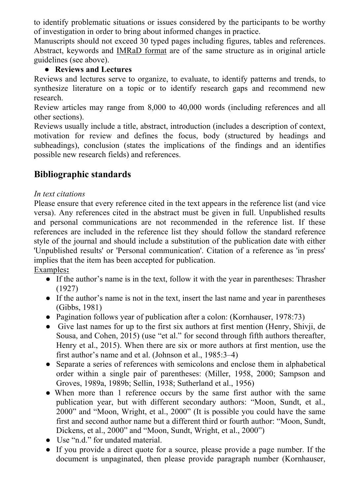to identify problematic situations or issues considered by the participants to be worthy of investigation in order to bring about informed changes in practice.

Manuscripts should not exceed 30 typed pages including figures, tables and references. Abstract, keywords and IMRaD format are of the same structure as in original article guidelines (see above).

## ● **Reviews and Lectures**

Reviews and lectures serve to organize, to evaluate, to identify patterns and trends, to synthesize literature on a topic or to identify research gaps and recommend new research.

Review articles may range from 8,000 to 40,000 words (including references and all other sections).

Reviews usually include a title, abstract, introduction (includes a description of context, motivation for review and defines the focus, body (structured by headings and subheadings), conclusion (states the implications of the findings and an identifies possible new research fields) and references.

# **Bibliographic standards**

## *In text citations*

Please ensure that every reference cited in the text appears in the reference list (and vice versa). Any references cited in the abstract must be given in full. Unpublished results and personal communications are not recommended in the reference list. If these references are included in the reference list they should follow the standard reference style of the journal and should include a substitution of the publication date with either 'Unpublished results' or 'Personal communication'. Citation of a reference as 'in press' implies that the item has been accepted for publication.

Examples**:**

- If the author's name is in the text, follow it with the year in parentheses: Thrasher (1927)
- If the author's name is not in the text, insert the last name and year in parentheses (Gibbs, 1981)
- Pagination follows year of publication after a colon: (Kornhauser, 1978:73)
- Give last names for up to the first six authors at first mention (Henry, Shivji, de Sousa, and Cohen, 2015) (use "et al." for second through fifth authors thereafter, Henry et al., 2015). When there are six or more authors at first mention, use the first author's name and et al. (Johnson et al., 1985:3–4)
- Separate a series of references with semicolons and enclose them in alphabetical order within a single pair of parentheses: (Miller, 1958, 2000; Sampson and Groves, 1989a, 1989b; Sellin, 1938; Sutherland et al., 1956)
- When more than 1 reference occurs by the same first author with the same publication year, but with different secondary authors: "Moon, Sundt, et al., 2000" and "Moon, Wright, et al., 2000" (It is possible you could have the same first and second author name but a different third or fourth author: "Moon, Sundt, Dickens, et al., 2000" and "Moon, Sundt, Wright, et al., 2000")
- Use "n.d." for undated material.
- If you provide a direct quote for a source, please provide a page number. If the document is unpaginated, then please provide paragraph number (Kornhauser,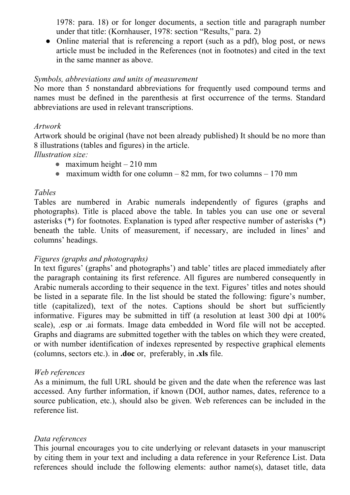1978: para. 18) or for longer documents, a section title and paragraph number under that title: (Kornhauser, 1978: section "Results," para. 2)

• Online material that is referencing a report (such as a pdf), blog post, or news article must be included in the References (not in footnotes) and cited in the text in the same manner as above.

#### *Symbols, abbreviations and units of measurement*

No more than 5 nonstandard abbreviations for frequently used compound terms and names must be defined in the parenthesis at first occurrence of the terms. Standard abbreviations are used in relevant transcriptions.

#### *Artwork*

Artwork should be original (have not been already published) It should be no more than 8 illustrations (tables and figures) in the article.

#### *Illustration size:*

- $\bullet$  maximum height 210 mm
- maximum width for one column  $82 \text{ mm}$ , for two columns 170 mm

#### *Tables*

Tables are numbered in Arabic numerals independently of figures (graphs and photographs). Title is placed above the table. In tables you can use one or several asterisks (\*) for footnotes. Explanation is typed after respective number of asterisks (\*) beneath the table. Units of measurement, if necessary, are included in lines' and columns' headings.

#### *Figures (graphs and photographs)*

In text figures' (graphs' and photographs') and table' titles are placed immediately after the paragraph containing its first reference. All figures are numbered consequently in Arabic numerals according to their sequence in the text. Figures' titles and notes should be listed in a separate file. In the list should be stated the following: figure's number, title (capitalized), text of the notes. Captions should be short but sufficiently informative. Figures may be submitted in tiff (a resolution at least 300 dpi at 100% scale), .esp or .ai formats. Image data embedded in Word file will not be accepted. Graphs and diagrams are submitted together with the tables on which they were created, or with number identification of indexes represented by respective graphical elements (columns, sectors etc.). in **.doc** or, preferably, in **.xls** file.

#### *Web references*

As a minimum, the full URL should be given and the date when the reference was last accessed. Any further information, if known (DOI, author names, dates, reference to a source publication, etc.), should also be given. Web references can be included in the reference list.

#### *Data references*

This journal encourages you to cite underlying or relevant datasets in your manuscript by citing them in your text and including a data reference in your Reference List. Data references should include the following elements: author name(s), dataset title, data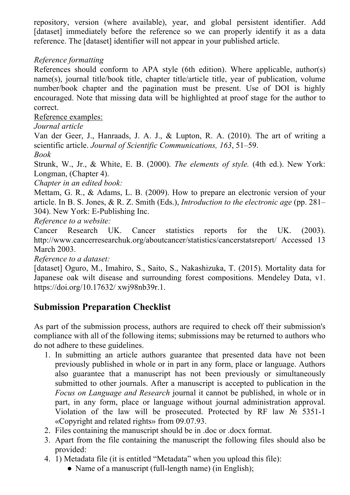repository, version (where available), year, and global persistent identifier. Add [dataset] immediately before the reference so we can properly identify it as a data reference. The [dataset] identifier will not appear in your published article.

## *Reference formatting*

References should conform to APA style (6th edition). Where applicable, author(s) name(s), journal title/book title, chapter title/article title, year of publication, volume number/book chapter and the pagination must be present. Use of DOI is highly encouraged. Note that missing data will be highlighted at proof stage for the author to correct.

Reference examples:

*Journal article*

Van der Geer, J., Hanraads, J. A. J., & Lupton, R. A. (2010). The art of writing a scientific article. *Journal of Scientific Communications, 163*, 51–59.

*Book*

Strunk, W., Jr., & White, E. B. (2000). *The elements of style.* (4th ed.). New York: Longman, (Chapter 4).

*Chapter in an edited book:*

Mettam, G. R., & Adams, L. B. (2009). How to prepare an electronic version of your article. In B. S. Jones, & R. Z. Smith (Eds.), *Introduction to the electronic age* (pp. 281– 304). New York: E-Publishing Inc.

*Reference to a website:*

Cancer Research UK. Cancer statistics reports for the UK. (2003). http://www.cancerresearchuk.org/aboutcancer/statistics/cancerstatsreport/ Accessed 13 March 2003.

*Reference to a dataset:*

[dataset] Oguro, M., Imahiro, S., Saito, S., Nakashizuka, T. (2015). Mortality data for Japanese oak wilt disease and surrounding forest compositions. Mendeley Data, v1. https://doi.org/10.17632/ xwj98nb39r.1.

# **Submission Preparation Checklist**

As part of the submission process, authors are required to check off their submission's compliance with all of the following items; submissions may be returned to authors who do not adhere to these guidelines.

- 1. In submitting an article authors guarantee that presented data have not been previously published in whole or in part in any form, place or language. Authors also guarantee that a manuscript has not been previously or simultaneously submitted to other journals. After a manuscript is accepted to publication in the *Focus on Language and Research* journal it cannot be published, in whole or in part, in any form, place or language without journal administration approval. Violation of the law will be prosecuted. Protected by RF law  $\mathcal{N}_2$  5351-1 «Copyright and related rights» from 09.07.93.
- 2. Files containing the manuscript should be in .doc or .docx format.
- 3. Apart from the file containing the manuscript the following files should also be provided:
- 4. 1) Metadata file (it is entitled "Metadata" when you upload this file):
	- Name of a manuscript (full-length name) (in English);